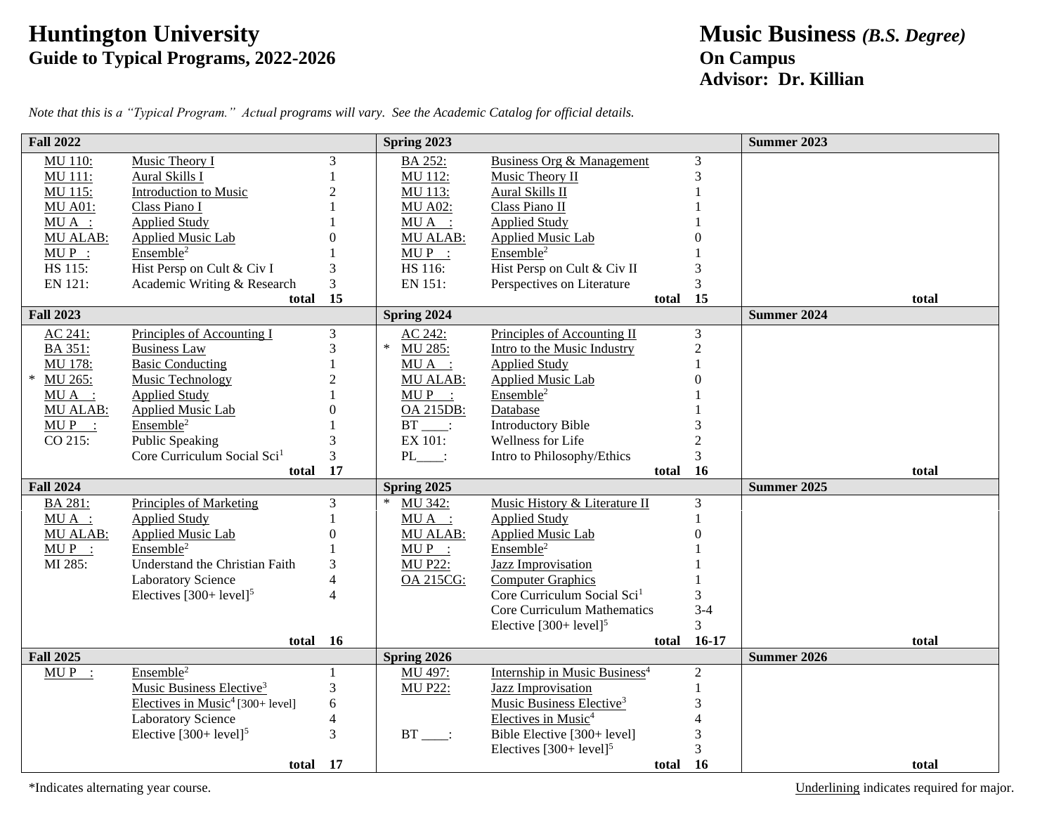## **Huntington University Music Business** *(B.S. Degree)* **Guide to Typical Programs, 2022-2026 On Campus**

## **Advisor: Dr. Killian**

| <b>Fall 2022</b> |                                                     |                | Spring 2023      |                                           |                | <b>Summer 2023</b>          |
|------------------|-----------------------------------------------------|----------------|------------------|-------------------------------------------|----------------|-----------------------------|
| <b>MU 110:</b>   | Music Theory I                                      | 3              | <b>BA 252:</b>   | <b>Business Org &amp; Management</b>      | 3              |                             |
| <b>MU 111:</b>   | Aural Skills I                                      |                | MU 112:          | Music Theory II                           | 3              |                             |
| MU 115:          | Introduction to Music                               | 2              | MU 113:          | Aural Skills II                           |                |                             |
| <b>MU A01:</b>   | Class Piano I                                       |                | <b>MU A02:</b>   | Class Piano II                            |                |                             |
| $MU A$ :         | <b>Applied Study</b>                                |                | $MU A$ :         | <b>Applied Study</b>                      |                |                             |
| <b>MU ALAB:</b>  | Applied Music Lab                                   | $\Omega$       | <b>MU ALAB:</b>  | Applied Music Lab                         |                |                             |
| $MUP$ :          | Ensemble <sup>2</sup>                               |                | $MUP$ :          | Ensemble <sup>2</sup>                     |                |                             |
| HS 115:          | Hist Persp on Cult & Civ I                          | 3              | HS 116:          | Hist Persp on Cult & Civ II               | 3              |                             |
| EN 121:          | Academic Writing & Research                         | 3              | EN 151:          | Perspectives on Literature                | 3              |                             |
|                  | total                                               | 15             |                  | total                                     | 15             | total                       |
| <b>Fall 2023</b> |                                                     |                | Spring 2024      |                                           |                | <b>Summer 2024</b>          |
| AC 241:          | Principles of Accounting I                          | 3              | AC 242:          | Principles of Accounting II               | 3              |                             |
| <b>BA 351:</b>   | <b>Business Law</b>                                 | 3              | MU 285:          | Intro to the Music Industry               | $\overline{c}$ |                             |
| MU 178:          | <b>Basic Conducting</b>                             |                | $MU A$ :         | <b>Applied Study</b>                      |                |                             |
| ∗<br>MU 265:     | Music Technology                                    | $\overline{2}$ | <b>MU ALAB:</b>  | <b>Applied Music Lab</b>                  |                |                             |
| $MU A$ :         | <b>Applied Study</b>                                |                | $MUP$ :          | Ensemble <sup>2</sup>                     |                |                             |
| <b>MU ALAB:</b>  | <b>Applied Music Lab</b>                            | $\Omega$       | <b>OA 215DB:</b> | Database                                  |                |                             |
| $MUP$ :          | Ensemble <sup>2</sup>                               |                | $BT$ :           | <b>Introductory Bible</b>                 |                |                             |
| CO 215:          | <b>Public Speaking</b>                              | 3              | EX 101:          | Wellness for Life                         | $\overline{2}$ |                             |
|                  | Core Curriculum Social Sci <sup>1</sup><br>total 17 | $\overline{3}$ | $PL$ :           | Intro to Philosophy/Ethics                | 3              |                             |
| <b>Fall 2024</b> |                                                     |                | Spring 2025      |                                           | total 16       | total<br><b>Summer 2025</b> |
| BA 281:          | Principles of Marketing                             | 3              | MU 342:          | Music History & Literature II             | 3              |                             |
| $MU A$ :         | <b>Applied Study</b>                                |                | $MU A$ :         | <b>Applied Study</b>                      |                |                             |
| <b>MU ALAB:</b>  | <b>Applied Music Lab</b>                            | $\Omega$       | <b>MU ALAB:</b>  | Applied Music Lab                         | 0              |                             |
| $MUP$ :          | Ensemble <sup>2</sup>                               |                | $MUP$ :          | Ensemble <sup>2</sup>                     |                |                             |
| MI 285:          | Understand the Christian Faith                      | 3              | <b>MU P22:</b>   | <b>Jazz Improvisation</b>                 |                |                             |
|                  | <b>Laboratory Science</b>                           | $\overline{4}$ | <b>OA 215CG:</b> | <b>Computer Graphics</b>                  |                |                             |
|                  | Electives $[300+level]$ <sup>5</sup>                | $\Delta$       |                  | Core Curriculum Social Sci <sup>1</sup>   | 3              |                             |
|                  |                                                     |                |                  | <b>Core Curriculum Mathematics</b>        | $3 - 4$        |                             |
|                  |                                                     |                |                  | Elective $[300+level]^{5}$                | $\overline{3}$ |                             |
|                  | total 16                                            |                |                  | total                                     | $16-17$        | total                       |
| <b>Fall 2025</b> |                                                     |                | Spring 2026      |                                           |                | <b>Summer 2026</b>          |
| $MUP$ :          | Ensemble <sup>2</sup>                               | 1              | MU 497:          | Internship in Music Business <sup>4</sup> | $\mathfrak{2}$ |                             |
|                  | Music Business Elective <sup>3</sup>                | 3              | <b>MU P22:</b>   | <b>Jazz Improvisation</b>                 | 1              |                             |
|                  | Electives in Music <sup>4</sup> [300+ level]        | 6              |                  | Music Business Elective <sup>3</sup>      | 3              |                             |
|                  | <b>Laboratory Science</b>                           | $\overline{4}$ |                  | Electives in Music <sup>4</sup>           |                |                             |
|                  | Elective $[300+level]^{5}$                          | $\overline{3}$ | $BT$ :           | Bible Elective [300+ level]               | 3              |                             |
|                  |                                                     |                |                  | Electives $[300+level]$ <sup>5</sup>      | 3              |                             |
|                  | total 17                                            |                |                  | total                                     | <b>16</b>      | total                       |

*Note that this is a "Typical Program." Actual programs will vary. See the Academic Catalog for official details.*

\*Indicates alternating year course. Underlining indicates required for major.